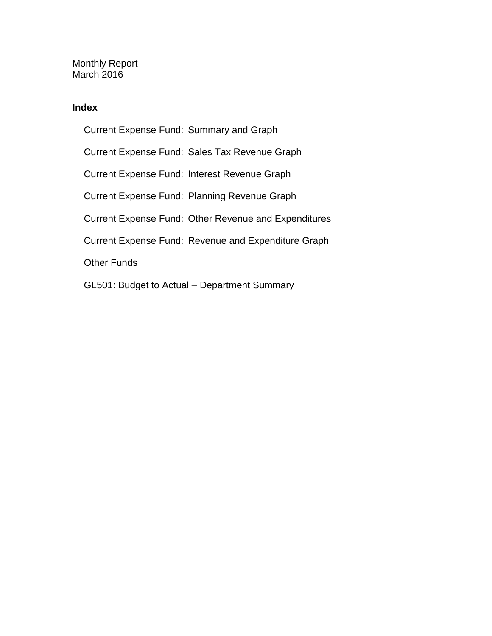Monthly Report March 2016

### **Index**

Current Expense Fund: Summary and Graph Current Expense Fund: Sales Tax Revenue Graph Current Expense Fund: Interest Revenue Graph Current Expense Fund: Planning Revenue Graph Current Expense Fund: Other Revenue and Expenditures Current Expense Fund: Revenue and Expenditure Graph Other Funds GL501: Budget to Actual – Department Summary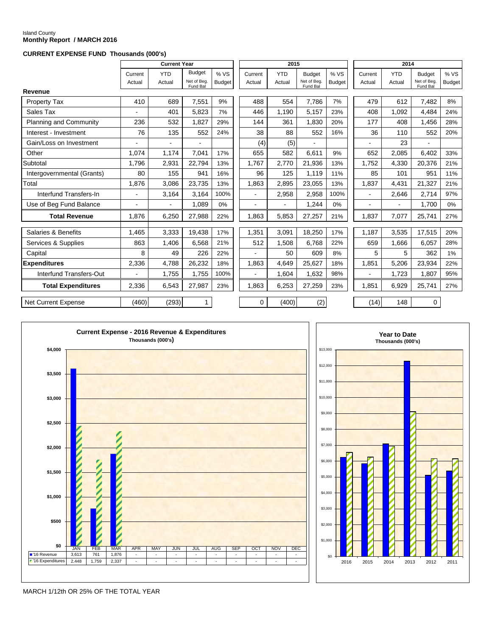# Island County **Monthly Report / MARCH 2016**

### **CURRENT EXPENSE FUND Thousands (000's)**

|                            |                | <b>Current Year</b> |                         |               | 2015    |            |                         | 2014          |                |      |            |                         |               |
|----------------------------|----------------|---------------------|-------------------------|---------------|---------|------------|-------------------------|---------------|----------------|------|------------|-------------------------|---------------|
|                            | Current        | <b>YTD</b>          | <b>Budget</b>           | % VS          | Current | <b>YTD</b> | <b>Budget</b>           | % VS          | Current        |      | <b>YTD</b> | <b>Budget</b>           | %VS           |
|                            | Actual         | Actual              | Net of Beg.<br>Fund Bal | <b>Budget</b> | Actual  | Actual     | Net of Beg.<br>Fund Bal | <b>Budget</b> | Actual         |      | Actual     | Net of Beg.<br>Fund Bal | <b>Budget</b> |
| Revenue                    |                |                     |                         |               |         |            |                         |               |                |      |            |                         |               |
| Property Tax               | 410            | 689                 | 7,551                   | 9%            | 488     | 554        | 7,786                   | 7%            |                | 479  | 612        | 7,482                   | 8%            |
| Sales Tax                  |                | 401                 | 5.823                   | 7%            | 446     | 1,190      | 5,157                   | 23%           |                | 408  | 1.092      | 4,484                   | 24%           |
| Planning and Community     | 236            | 532                 | 1.827                   | 29%           | 144     | 361        | 1.830                   | 20%           |                | 177  | 408        | 1,456                   | 28%           |
| Interest - Investment      | 76             | 135                 | 552                     | 24%           | 38      | 88         | 552                     | 16%           |                | 36   | 110        | 552                     | 20%           |
| Gain/Loss on Investment    |                |                     |                         |               | (4)     | (5)        |                         |               |                |      | 23         |                         |               |
| Other                      | 1,074          | 1,174               | 7.041                   | 17%           | 655     | 582        | 6,611                   | 9%            |                | 652  | 2,085      | 6.402                   | 33%           |
| Subtotal                   | 1,796          | 2,931               | 22,794                  | 13%           | 1,767   | 2,770      | 21,936                  | 13%           | 1,752          |      | 4,330      | 20,376                  | 21%           |
| Intergovernmental (Grants) | 80             | 155                 | 941                     | 16%           | 96      | 125        | 1.119                   | 11%           |                | 85   | 101        | 951                     | 11%           |
| Total                      | 1,876          | 3,086               | 23,735                  | 13%           | 1.863   | 2,895      | 23,055                  | 13%           | 1,837          |      | 4,431      | 21,327                  | 21%           |
| Interfund Transfers-In     | $\overline{a}$ | 3,164               | 3,164                   | 100%          | ä,      | 2,958      | 2,958                   | 100%          | $\overline{a}$ |      | 2,646      | 2,714                   | 97%           |
| Use of Beg Fund Balance    |                |                     | 1,089                   | 0%            |         | ÷.         | 1,244                   | 0%            | $\blacksquare$ |      |            | 1,700                   | $0\%$         |
| <b>Total Revenue</b>       | 1.876          | 6,250               | 27,988                  | 22%           | 1.863   | 5,853      | 27,257                  | 21%           | 1.837          |      | 7,077      | 25,741                  | 27%           |
| Salaries & Benefits        | 1.465          | 3,333               | 19,438                  | 17%           | 1,351   | 3,091      | 18,250                  | 17%           | 1,187          |      | 3.535      | 17,515                  | 20%           |
| Services & Supplies        | 863            | 1,406               | 6,568                   | 21%           | 512     | 1,508      | 6,768                   | 22%           |                | 659  | 1,666      | 6,057                   | 28%           |
| Capital                    | 8              | 49                  | 226                     | 22%           |         | 50         | 609                     | 8%            |                | 5    | 5          | 362                     | 1%            |
| <b>Expenditures</b>        | 2,336          | 4,788               | 26,232                  | 18%           | 1.863   | 4.649      | 25,627                  | 18%           | 1,851          |      | 5,206      | 23,934                  | 22%           |
| Interfund Transfers-Out    |                | 1,755               | 1,755                   | 100%          |         | 1,604      | 1,632                   | 98%           |                |      | 1,723      | 1,807                   | 95%           |
| <b>Total Expenditures</b>  | 2,336          | 6,543               | 27,987                  | 23%           | 1.863   | 6,253      | 27,259                  | 23%           | 1.851          |      | 6,929      | 25,741                  | 27%           |
| <b>Net Current Expense</b> | (460)          | (293)               | $\mathbf{1}$            |               | 0       | (400)      | (2)                     |               |                | (14) | 148        | 0                       |               |





MARCH 1/12th OR 25% OF THE TOTAL YEAR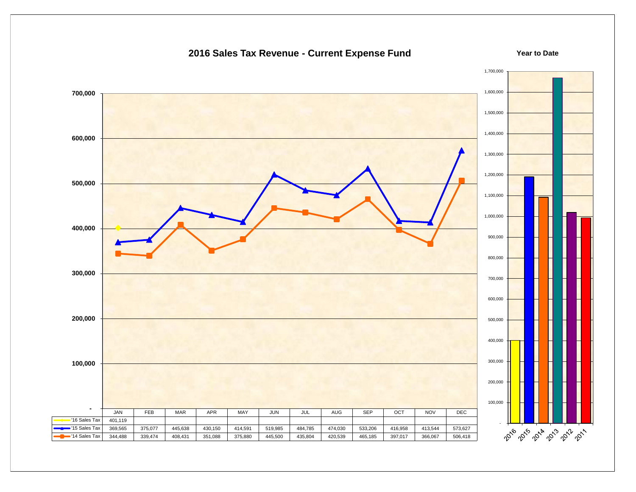### 1,700,000 1,600,000  **700,000** 1,500,000 1,400,000  **600,000** 1,300,000 1,200,000  **500,000** 1,100,000 1,000,000  **400,000** 900,000 800,000  **300,000** 700,000 600,000  **200,000** 500,000 400,000 300,000  **100,000** 200,000 100,000  **-** JAN | FEB | MAR | APR | MAY | JUN | JUL | AUG | SEP | OCT | NOV | DEC '16 Sales Tax  $401,119$  - 2016 2019 2018 2019 2011 '15 Sales Tax | 369,565 | 375,077 | 445,638 | 430,150 | 414,591 | 519,985 | 484,785 | 474,030 | 533,206 | 416,958 | 413,544 | 573,627 '14 Sales Tax | 344,488 | 339,474 | 408,431 | 351,088 | 375,880 | 445,500 | 435,804 | 420,539 | 465,185 | 397,017 | 366,067 | 506,418

### **2016 Sales Tax Revenue - Current Expense Fund**

**Year to Date**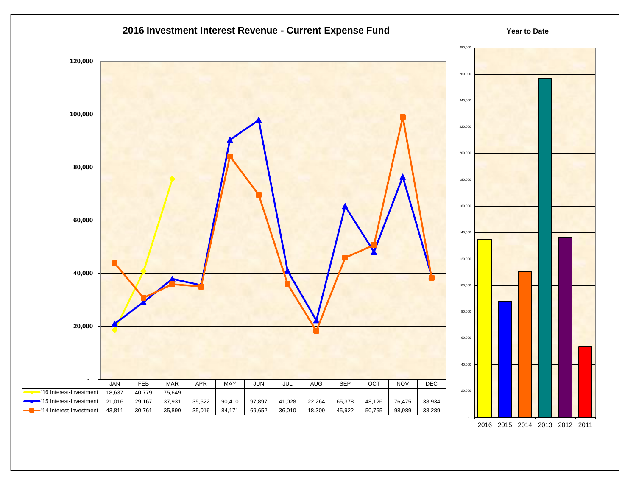

2016 2015 2014 2013 2012 2011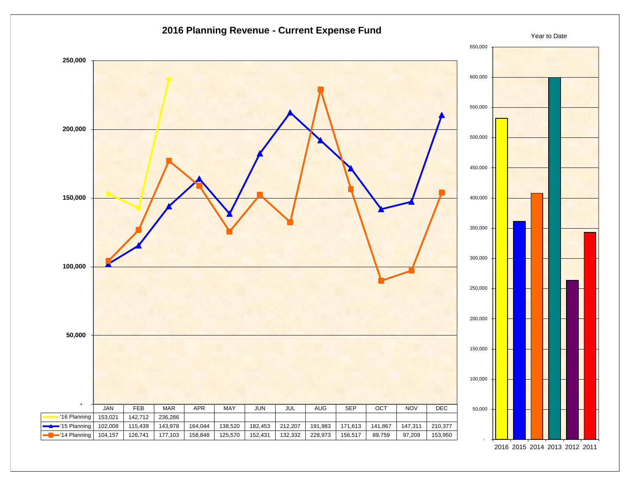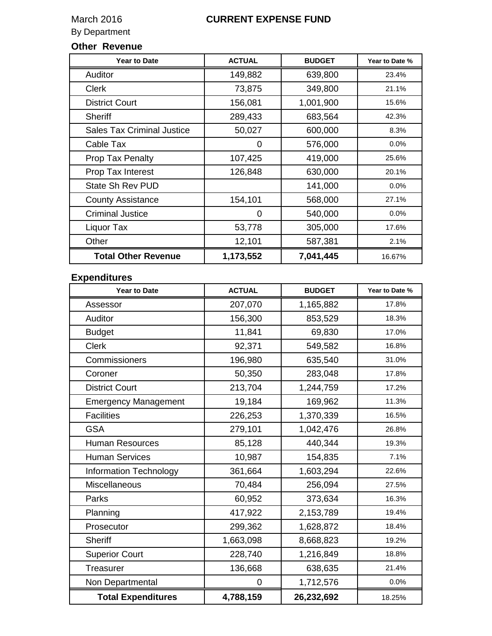# **Other Revenue**

| <b>Year to Date</b>               | <b>ACTUAL</b> | <b>BUDGET</b> | Year to Date % |
|-----------------------------------|---------------|---------------|----------------|
| Auditor                           | 149,882       | 639,800       | 23.4%          |
| <b>Clerk</b>                      | 73,875        | 349,800       | 21.1%          |
| <b>District Court</b>             | 156,081       | 1,001,900     | 15.6%          |
| <b>Sheriff</b>                    | 289,433       | 683,564       | 42.3%          |
| <b>Sales Tax Criminal Justice</b> | 50,027        | 600,000       | 8.3%           |
| Cable Tax                         | 0             | 576,000       | $0.0\%$        |
| <b>Prop Tax Penalty</b>           | 107,425       | 419,000       | 25.6%          |
| Prop Tax Interest                 | 126,848       | 630,000       | 20.1%          |
| State Sh Rev PUD                  |               | 141,000       | 0.0%           |
| <b>County Assistance</b>          | 154,101       | 568,000       | 27.1%          |
| <b>Criminal Justice</b>           | 0             | 540,000       | $0.0\%$        |
| Liquor Tax                        | 53,778        | 305,000       | 17.6%          |
| Other                             | 12,101        | 587,381       | 2.1%           |
| <b>Total Other Revenue</b>        | 1,173,552     | 7,041,445     | 16.67%         |

### **Expenditures**

| <b>Year to Date</b>         | <b>ACTUAL</b> | <b>BUDGET</b> | Year to Date % |
|-----------------------------|---------------|---------------|----------------|
| Assessor                    | 207,070       | 1,165,882     | 17.8%          |
| Auditor                     | 156,300       | 853,529       | 18.3%          |
| <b>Budget</b>               | 11,841        | 69,830        | 17.0%          |
| <b>Clerk</b>                | 92,371        | 549,582       | 16.8%          |
| Commissioners               | 196,980       | 635,540       | 31.0%          |
| Coroner                     | 50,350        | 283,048       | 17.8%          |
| <b>District Court</b>       | 213,704       | 1,244,759     | 17.2%          |
| <b>Emergency Management</b> | 19,184        | 169,962       | 11.3%          |
| <b>Facilities</b>           | 226,253       | 1,370,339     | 16.5%          |
| <b>GSA</b>                  | 279,101       | 1,042,476     | 26.8%          |
| <b>Human Resources</b>      | 85,128        | 440,344       | 19.3%          |
| <b>Human Services</b>       | 10,987        | 154,835       | 7.1%           |
| Information Technology      | 361,664       | 1,603,294     | 22.6%          |
| Miscellaneous               | 70,484        | 256,094       | 27.5%          |
| Parks                       | 60,952        | 373,634       | 16.3%          |
| Planning                    | 417,922       | 2,153,789     | 19.4%          |
| Prosecutor                  | 299,362       | 1,628,872     | 18.4%          |
| <b>Sheriff</b>              | 1,663,098     | 8,668,823     | 19.2%          |
| <b>Superior Court</b>       | 228,740       | 1,216,849     | 18.8%          |
| <b>Treasurer</b>            | 136,668       | 638,635       | 21.4%          |
| Non Departmental            | 0             | 1,712,576     | 0.0%           |
| <b>Total Expenditures</b>   | 4,788,159     | 26,232,692    | 18.25%         |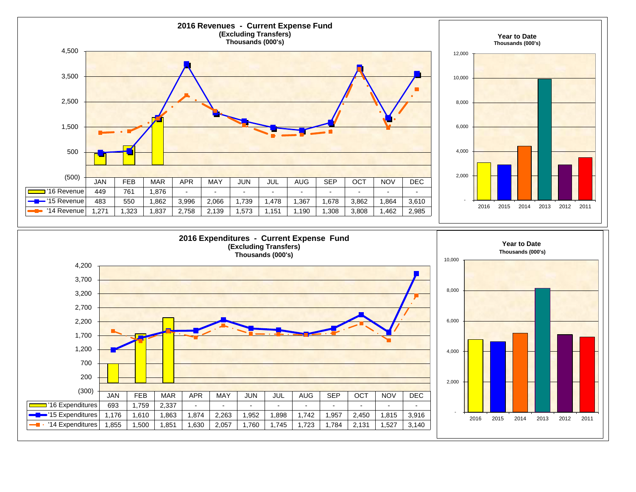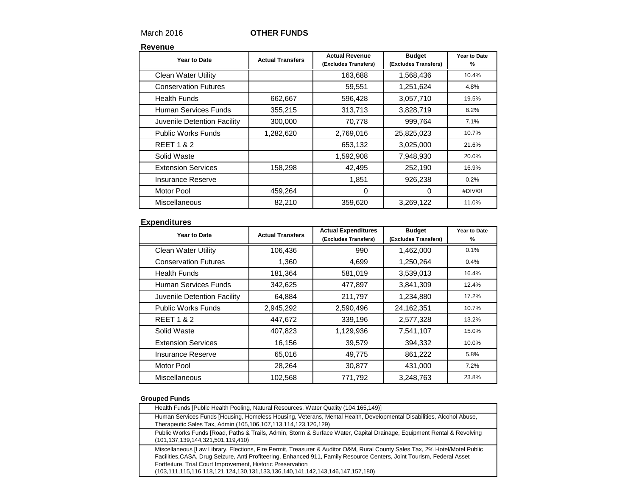### March 2016 **OTHER FUNDS**

#### **Revenue**

| Year to Date                | <b>Actual Transfers</b> | <b>Actual Revenue</b><br>(Excludes Transfers) | <b>Budget</b><br>(Excludes Transfers) | Year to Date<br>% |
|-----------------------------|-------------------------|-----------------------------------------------|---------------------------------------|-------------------|
| <b>Clean Water Utility</b>  |                         | 163,688                                       | 1,568,436                             | 10.4%             |
| <b>Conservation Futures</b> |                         | 59,551                                        | 1,251,624                             | 4.8%              |
| <b>Health Funds</b>         | 662,667                 | 596,428                                       | 3,057,710                             | 19.5%             |
| Human Services Funds        | 355,215                 | 313,713                                       | 3,828,719                             | 8.2%              |
| Juvenile Detention Facility | 300,000                 | 70,778                                        | 999,764                               | 7.1%              |
| <b>Public Works Funds</b>   | 1,282,620               | 2,769,016                                     | 25,825,023                            | 10.7%             |
| <b>REET 1 &amp; 2</b>       |                         | 653,132                                       | 3,025,000                             | 21.6%             |
| Solid Waste                 |                         | 1,592,908                                     | 7,948,930                             | 20.0%             |
| <b>Extension Services</b>   | 158,298                 | 42,495                                        | 252,190                               | 16.9%             |
| Insurance Reserve           |                         | 1,851                                         | 926,238                               | 0.2%              |
| Motor Pool                  | 459,264                 | 0                                             | 0                                     | #DIV/0!           |
| Miscellaneous               | 82,210                  | 359,620                                       | 3,269,122                             | 11.0%             |

#### **Expenditures**

| Year to Date                | <b>Actual Transfers</b> | <b>Actual Expenditures</b><br>(Excludes Transfers) | <b>Budget</b><br>(Excludes Transfers) | Year to Date<br>% |
|-----------------------------|-------------------------|----------------------------------------------------|---------------------------------------|-------------------|
| <b>Clean Water Utility</b>  | 106,436                 | 990                                                | 1,462,000                             | 0.1%              |
| <b>Conservation Futures</b> | 1,360                   | 4,699                                              | 1,250,264                             | 0.4%              |
| <b>Health Funds</b>         | 181,364                 | 581,019                                            | 3,539,013                             | 16.4%             |
| Human Services Funds        | 342,625                 | 477,897                                            | 3,841,309                             | 12.4%             |
| Juvenile Detention Facility | 64,884                  | 211,797                                            | 1,234,880                             | 17.2%             |
| <b>Public Works Funds</b>   | 2,945,292               | 2,590,496                                          | 24,162,351                            | 10.7%             |
| <b>REET 1 &amp; 2</b>       | 447,672                 | 339,196                                            | 2,577,328                             | 13.2%             |
| Solid Waste                 | 407,823                 | 1,129,936                                          | 7,541,107                             | 15.0%             |
| <b>Extension Services</b>   | 16,156                  | 39,579                                             | 394,332                               | 10.0%             |
| <b>Insurance Reserve</b>    | 65,016                  | 49,775                                             | 861,222                               | 5.8%              |
| Motor Pool                  | 28,264                  | 30,877                                             | 431,000                               | 7.2%              |
| <b>Miscellaneous</b>        | 102,568                 | 771,792                                            | 3,248,763                             | 23.8%             |

#### **Grouped Funds**

| Health Funds [Public Health Pooling, Natural Resources, Water Quality (104,165,149)]                                                                                                                                                                                                                                                                                                                 |
|------------------------------------------------------------------------------------------------------------------------------------------------------------------------------------------------------------------------------------------------------------------------------------------------------------------------------------------------------------------------------------------------------|
| Human Services Funds [Housing, Homeless Housing, Veterans, Mental Health, Developmental Disabilities, Alcohol Abuse,<br>Therapeutic Sales Tax, Admin (105,106,107,113,114,123,126,129)                                                                                                                                                                                                               |
| Public Works Funds [Road, Paths & Trails, Admin, Storm & Surface Water, Capital Drainage, Equipment Rental & Revolving<br>(101,137,139,144,321,501,119,410)                                                                                                                                                                                                                                          |
| Miscellaneous [Law Library, Elections, Fire Permit, Treasurer & Auditor O&M, Rural County Sales Tax, 2% Hotel/Motel Public<br>Facilities, CASA, Drug Seizure, Anti Profiteering, Enhanced 911, Family Resource Centers, Joint Tourism, Federal Asset<br>Fortfeiture, Trial Court Improvement, Historic Preservation<br>(103,111,115,116,118,121,124,130,131,133,136,140,141,142,143,146,147,157,180) |
|                                                                                                                                                                                                                                                                                                                                                                                                      |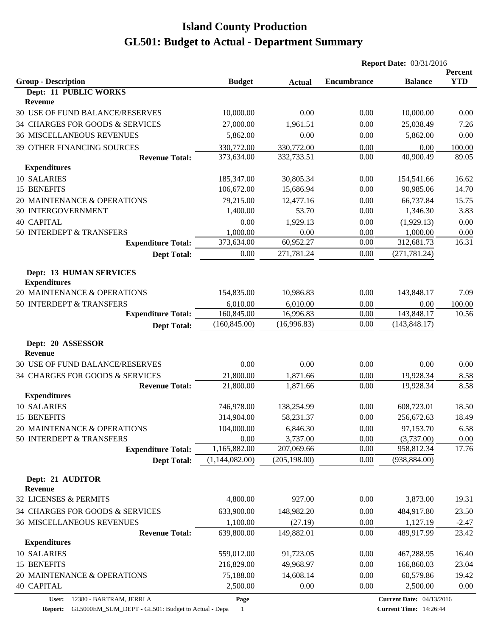|                                  |                             |                          | <b>Report Date: 03/31/2016</b> |                             |                       |  |
|----------------------------------|-----------------------------|--------------------------|--------------------------------|-----------------------------|-----------------------|--|
| <b>Group - Description</b>       | <b>Budget</b>               |                          | <b>Encumbrance</b>             | <b>Balance</b>              | Percent<br><b>YTD</b> |  |
| Dept: 11 PUBLIC WORKS            |                             | <b>Actual</b>            |                                |                             |                       |  |
| <b>Revenue</b>                   |                             |                          |                                |                             |                       |  |
| 30 USE OF FUND BALANCE/RESERVES  | 10,000.00                   | 0.00                     | 0.00                           | 10,000.00                   | 0.00                  |  |
| 34 CHARGES FOR GOODS & SERVICES  | 27,000.00                   | 1,961.51                 | 0.00                           | 25,038.49                   | 7.26                  |  |
| <b>36 MISCELLANEOUS REVENUES</b> | 5,862.00                    | 0.00                     | 0.00                           | 5,862.00                    | 0.00                  |  |
| 39 OTHER FINANCING SOURCES       | 330,772.00                  | 330,772.00               | 0.00                           | 0.00                        | 100.00                |  |
| <b>Revenue Total:</b>            | 373,634.00                  | 332,733.51               | 0.00                           | 40,900.49                   | 89.05                 |  |
| <b>Expenditures</b>              |                             |                          |                                |                             |                       |  |
| 10 SALARIES                      | 185,347.00                  | 30,805.34                | 0.00                           | 154,541.66                  | 16.62                 |  |
| 15 BENEFITS                      | 106,672.00                  | 15,686.94                | 0.00                           | 90,985.06                   | 14.70                 |  |
| 20 MAINTENANCE & OPERATIONS      | 79,215.00                   | 12,477.16                | 0.00                           | 66,737.84                   | 15.75                 |  |
| 30 INTERGOVERNMENT               | 1,400.00                    | 53.70                    | 0.00                           | 1,346.30                    | 3.83                  |  |
| <b>40 CAPITAL</b>                | 0.00                        | 1,929.13                 | 0.00                           | (1,929.13)                  | 0.00                  |  |
| 50 INTERDEPT & TRANSFERS         | 1,000.00                    | 0.00                     | 0.00                           | 1,000.00                    | 0.00                  |  |
| <b>Expenditure Total:</b>        | 373,634.00                  | 60,952.27                | 0.00                           | 312,681.73                  | 16.31                 |  |
| <b>Dept Total:</b>               | 0.00                        | 271,781.24               | 0.00                           | (271, 781.24)               |                       |  |
|                                  |                             |                          |                                |                             |                       |  |
| <b>Dept: 13 HUMAN SERVICES</b>   |                             |                          |                                |                             |                       |  |
| <b>Expenditures</b>              |                             |                          |                                |                             |                       |  |
| 20 MAINTENANCE & OPERATIONS      | 154,835.00                  | 10,986.83                | 0.00                           | 143,848.17                  | 7.09                  |  |
| 50 INTERDEPT & TRANSFERS         | 6,010.00                    | 6,010.00                 | 0.00                           | 0.00                        | 100.00                |  |
| <b>Expenditure Total:</b>        | 160,845.00<br>(160, 845.00) | 16,996.83<br>(16,996.83) | 0.00<br>0.00                   | 143,848.17<br>(143, 848.17) | 10.56                 |  |
| <b>Dept Total:</b>               |                             |                          |                                |                             |                       |  |
| Dept: 20 ASSESSOR                |                             |                          |                                |                             |                       |  |
| <b>Revenue</b>                   |                             |                          |                                |                             |                       |  |
| 30 USE OF FUND BALANCE/RESERVES  | 0.00                        | 0.00                     | 0.00                           | 0.00                        | 0.00                  |  |
| 34 CHARGES FOR GOODS & SERVICES  | 21,800.00                   | 1,871.66                 | 0.00                           | 19,928.34                   | 8.58                  |  |
| <b>Revenue Total:</b>            | 21,800.00                   | 1,871.66                 | 0.00                           | 19,928.34                   | 8.58                  |  |
| <b>Expenditures</b>              |                             |                          |                                |                             |                       |  |
| 10 SALARIES                      | 746,978.00                  | 138,254.99               | 0.00                           | 608,723.01                  | 18.50                 |  |
| 15 BENEFITS                      | 314,904.00                  | 58,231.37                | 0.00                           | 256,672.63                  | 18.49                 |  |
| 20 MAINTENANCE & OPERATIONS      | 104,000.00                  | 6,846.30                 | 0.00                           | 97,153.70                   | 6.58                  |  |
| 50 INTERDEPT & TRANSFERS         | 0.00                        | 3,737.00                 | 0.00                           | (3,737.00)                  | 0.00                  |  |
| <b>Expenditure Total:</b>        | 1,165,882.00                | 207,069.66               | 0.00                           | 958,812.34                  | 17.76                 |  |
| <b>Dept Total:</b>               | (1,144,082.00)              | (205, 198.00)            | 0.00                           | (938, 884.00)               |                       |  |
| Dept: 21 AUDITOR                 |                             |                          |                                |                             |                       |  |
| <b>Revenue</b>                   |                             |                          |                                |                             |                       |  |
| 32 LICENSES & PERMITS            | 4,800.00                    | 927.00                   | 0.00                           | 3,873.00                    | 19.31                 |  |
| 34 CHARGES FOR GOODS & SERVICES  | 633,900.00                  | 148,982.20               | 0.00                           | 484,917.80                  | 23.50                 |  |
| <b>36 MISCELLANEOUS REVENUES</b> | 1,100.00                    | (27.19)                  | 0.00                           | 1,127.19                    | $-2.47$               |  |
| <b>Revenue Total:</b>            | 639,800.00                  | 149,882.01               | 0.00                           | 489,917.99                  | 23.42                 |  |
| <b>Expenditures</b>              |                             |                          |                                |                             |                       |  |
| 10 SALARIES                      | 559,012.00                  | 91,723.05                | 0.00                           | 467,288.95                  | 16.40                 |  |
| 15 BENEFITS                      | 216,829.00                  | 49,968.97                | 0.00                           | 166,860.03                  | 23.04                 |  |
| 20 MAINTENANCE & OPERATIONS      | 75,188.00                   | 14,608.14                | 0.00                           | 60,579.86                   | 19.42                 |  |
| <b>40 CAPITAL</b>                | 2,500.00                    | 0.00                     | 0.00                           | 2,500.00                    | 0.00                  |  |
|                                  |                             |                          |                                |                             |                       |  |

**User:** 12380 - BARTRAM, JERRI A

**Page**

**Current Date:** 04/13/2016 **Current Time:** 14:26:44

**Report:** GL5000EM\_SUM\_DEPT - GL501: Budget to Actual - Depa 1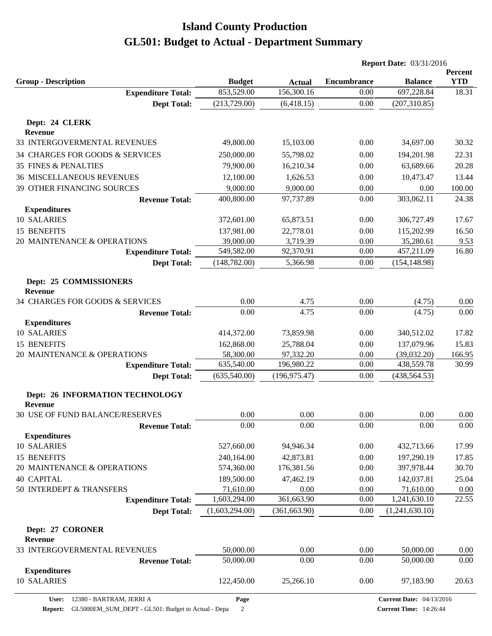|                                                   |                |               |                    | <b>Report Date: 03/31/2016</b>  |                       |  |
|---------------------------------------------------|----------------|---------------|--------------------|---------------------------------|-----------------------|--|
| <b>Group - Description</b>                        | <b>Budget</b>  | <b>Actual</b> | <b>Encumbrance</b> | <b>Balance</b>                  | Percent<br><b>YTD</b> |  |
| <b>Expenditure Total:</b>                         | 853,529.00     | 156,300.16    | 0.00               | 697,228.84                      | 18.31                 |  |
| <b>Dept Total:</b>                                | (213, 729.00)  | (6,418.15)    | 0.00               | (207, 310.85)                   |                       |  |
| Dept: 24 CLERK                                    |                |               |                    |                                 |                       |  |
| <b>Revenue</b>                                    |                |               |                    |                                 |                       |  |
| 33 INTERGOVERMENTAL REVENUES                      | 49,800.00      | 15,103.00     | 0.00               | 34,697.00                       | 30.32                 |  |
| 34 CHARGES FOR GOODS & SERVICES                   | 250,000.00     | 55,798.02     | 0.00               | 194,201.98                      | 22.31                 |  |
| <b>35 FINES &amp; PENALTIES</b>                   | 79,900.00      | 16,210.34     | 0.00               | 63,689.66                       | 20.28                 |  |
| <b>36 MISCELLANEOUS REVENUES</b>                  | 12,100.00      | 1,626.53      | 0.00               | 10,473.47                       | 13.44                 |  |
| 39 OTHER FINANCING SOURCES                        | 9,000.00       | 9,000.00      | 0.00               | 0.00                            | 100.00                |  |
| <b>Revenue Total:</b>                             | 400,800.00     | 97,737.89     | 0.00               | 303,062.11                      | 24.38                 |  |
| <b>Expenditures</b>                               |                |               |                    |                                 |                       |  |
| 10 SALARIES                                       | 372,601.00     | 65,873.51     | 0.00               | 306,727.49                      | 17.67                 |  |
| 15 BENEFITS                                       | 137,981.00     | 22,778.01     | 0.00               | 115,202.99                      | 16.50                 |  |
| 20 MAINTENANCE & OPERATIONS                       | 39,000.00      | 3,719.39      | 0.00               | 35,280.61                       | 9.53                  |  |
| <b>Expenditure Total:</b>                         | 549,582.00     | 92,370.91     | 0.00               | 457,211.09                      | 16.80                 |  |
| <b>Dept Total:</b>                                | (148, 782.00)  | 5,366.98      | 0.00               | (154, 148.98)                   |                       |  |
| Dept: 25 COMMISSIONERS                            |                |               |                    |                                 |                       |  |
| <b>Revenue</b>                                    |                |               |                    |                                 |                       |  |
| 34 CHARGES FOR GOODS & SERVICES                   | 0.00           | 4.75          | 0.00               | (4.75)                          | 0.00                  |  |
| <b>Revenue Total:</b>                             | 0.00           | 4.75          | 0.00               | (4.75)                          | 0.00                  |  |
| <b>Expenditures</b>                               |                |               |                    |                                 |                       |  |
| 10 SALARIES                                       | 414,372.00     | 73,859.98     | 0.00               | 340,512.02                      | 17.82                 |  |
| 15 BENEFITS                                       | 162,868.00     | 25,788.04     | 0.00               | 137,079.96                      | 15.83                 |  |
| 20 MAINTENANCE & OPERATIONS                       | 58,300.00      | 97,332.20     | 0.00               | (39,032.20)                     | 166.95                |  |
| <b>Expenditure Total:</b>                         | 635,540.00     | 196,980.22    | 0.00<br>0.00       | 438,559.78<br>(438, 564.53)     | 30.99                 |  |
| <b>Dept Total:</b>                                | (635,540.00)   | (196, 975.47) |                    |                                 |                       |  |
| Dept: 26 INFORMATION TECHNOLOGY<br><b>Revenue</b> |                |               |                    |                                 |                       |  |
| 30 USE OF FUND BALANCE/RESERVES                   | 0.00           | 0.00          | 0.00               | 0.00                            | 0.00                  |  |
| <b>Revenue Total:</b>                             | 0.00           | 0.00          | 0.00               | 0.00                            | 0.00                  |  |
| <b>Expenditures</b>                               |                |               |                    |                                 |                       |  |
| 10 SALARIES                                       | 527,660.00     | 94,946.34     | 0.00               | 432,713.66                      | 17.99                 |  |
| 15 BENEFITS                                       | 240,164.00     | 42,873.81     | 0.00               | 197,290.19                      | 17.85                 |  |
| 20 MAINTENANCE & OPERATIONS                       | 574,360.00     | 176,381.56    | 0.00               | 397,978.44                      | 30.70                 |  |
| <b>40 CAPITAL</b>                                 | 189,500.00     | 47,462.19     | 0.00               | 142,037.81                      | 25.04                 |  |
| 50 INTERDEPT & TRANSFERS                          | 71,610.00      | 0.00          | 0.00               | 71,610.00                       | 0.00                  |  |
| <b>Expenditure Total:</b>                         | 1,603,294.00   | 361,663.90    | 0.00               | 1,241,630.10                    | 22.55                 |  |
| <b>Dept Total:</b>                                | (1,603,294.00) | (361, 663.90) | 0.00               | (1,241,630.10)                  |                       |  |
| Dept: 27 CORONER<br><b>Revenue</b>                |                |               |                    |                                 |                       |  |
| 33 INTERGOVERMENTAL REVENUES                      | 50,000.00      | 0.00          | 0.00               | 50,000.00                       | 0.00                  |  |
| <b>Revenue Total:</b>                             | 50,000.00      | 0.00          | 0.00               | 50,000.00                       | 0.00                  |  |
| <b>Expenditures</b>                               |                |               |                    |                                 |                       |  |
| 10 SALARIES                                       | 122,450.00     | 25,266.10     | 0.00               | 97,183.90                       | 20.63                 |  |
| 12380 - BARTRAM, JERRI A<br><b>User:</b>          | Page           |               |                    | <b>Current Date: 04/13/2016</b> |                       |  |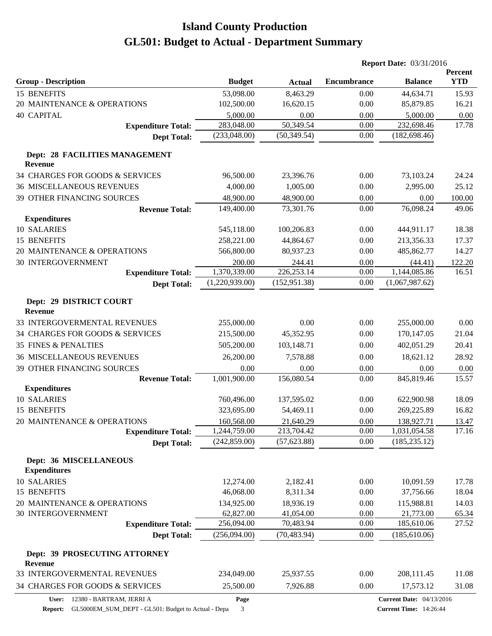|                                                  |                |               |                    | <b>Report Date: 03/31/2016</b>  |                              |  |
|--------------------------------------------------|----------------|---------------|--------------------|---------------------------------|------------------------------|--|
| <b>Group - Description</b>                       | <b>Budget</b>  | <b>Actual</b> | <b>Encumbrance</b> | <b>Balance</b>                  | <b>Percent</b><br><b>YTD</b> |  |
| 15 BENEFITS                                      | 53,098.00      | 8,463.29      | 0.00               | 44,634.71                       | 15.93                        |  |
| 20 MAINTENANCE & OPERATIONS                      | 102,500.00     | 16,620.15     | 0.00               | 85,879.85                       | 16.21                        |  |
| <b>40 CAPITAL</b>                                | 5,000.00       | 0.00          | 0.00               | 5,000.00                        | 0.00                         |  |
| <b>Expenditure Total:</b>                        | 283,048.00     | 50,349.54     | 0.00               | 232,698.46                      | 17.78                        |  |
| <b>Dept Total:</b>                               | (233,048.00)   | (50, 349.54)  | 0.00               | (182, 698.46)                   |                              |  |
| Dept: 28 FACILITIES MANAGEMENT<br><b>Revenue</b> |                |               |                    |                                 |                              |  |
| 34 CHARGES FOR GOODS & SERVICES                  | 96,500.00      | 23,396.76     | 0.00               | 73,103.24                       | 24.24                        |  |
| <b>36 MISCELLANEOUS REVENUES</b>                 | 4,000.00       | 1,005.00      | 0.00               | 2,995.00                        | 25.12                        |  |
| 39 OTHER FINANCING SOURCES                       | 48,900.00      | 48,900.00     | 0.00               | 0.00                            | 100.00                       |  |
| <b>Revenue Total:</b>                            | 149,400.00     | 73,301.76     | 0.00               | 76,098.24                       | 49.06                        |  |
| <b>Expenditures</b>                              |                |               |                    |                                 |                              |  |
| 10 SALARIES                                      | 545,118.00     | 100,206.83    | 0.00               | 444,911.17                      | 18.38                        |  |
| 15 BENEFITS                                      | 258,221.00     | 44,864.67     | 0.00               | 213,356.33                      | 17.37                        |  |
| 20 MAINTENANCE & OPERATIONS                      | 566,800.00     | 80,937.23     | 0.00               | 485,862.77                      | 14.27                        |  |
| <b>30 INTERGOVERNMENT</b>                        | 200.00         | 244.41        | 0.00               | (44.41)                         | 122.20                       |  |
| <b>Expenditure Total:</b>                        | 1,370,339.00   | 226, 253.14   | 0.00               | 1,144,085.86                    | 16.51                        |  |
| <b>Dept Total:</b>                               | (1,220,939.00) | (152, 951.38) | 0.00               | (1,067,987.62)                  |                              |  |
| Dept: 29 DISTRICT COURT<br><b>Revenue</b>        |                |               |                    |                                 |                              |  |
| 33 INTERGOVERMENTAL REVENUES                     | 255,000.00     | 0.00          | 0.00               | 255,000.00                      | 0.00                         |  |
| 34 CHARGES FOR GOODS & SERVICES                  | 215,500.00     | 45,352.95     | 0.00               | 170,147.05                      | 21.04                        |  |
| <b>35 FINES &amp; PENALTIES</b>                  | 505,200.00     | 103,148.71    | 0.00               | 402,051.29                      | 20.41                        |  |
| <b>36 MISCELLANEOUS REVENUES</b>                 | 26,200.00      | 7,578.88      | 0.00               | 18,621.12                       | 28.92                        |  |
| 39 OTHER FINANCING SOURCES                       | 0.00           | 0.00          | 0.00               | 0.00                            | 0.00                         |  |
| <b>Revenue Total:</b>                            | 1,001,900.00   | 156,080.54    | 0.00               | 845,819.46                      | 15.57                        |  |
| <b>Expenditures</b>                              |                |               |                    |                                 |                              |  |
| 10 SALARIES                                      | 760,496.00     | 137,595.02    | 0.00               | 622,900.98                      | 18.09                        |  |
| 15 BENEFITS                                      | 323,695.00     | 54,469.11     | 0.00               | 269,225.89                      | 16.82                        |  |
| 20 MAINTENANCE & OPERATIONS                      | 160,568.00     | 21,640.29     | $0.00\,$           | 138,927.71                      | 13.47                        |  |
| <b>Expenditure Total:</b>                        | 1,244,759.00   | 213,704.42    | 0.00               | 1,031,054.58                    | 17.16                        |  |
| <b>Dept Total:</b>                               | (242, 859.00)  | (57, 623.88)  | 0.00               | (185, 235.12)                   |                              |  |
| Dept: 36 MISCELLANEOUS<br><b>Expenditures</b>    |                |               |                    |                                 |                              |  |
| 10 SALARIES                                      | 12,274.00      | 2,182.41      | 0.00               | 10,091.59                       | 17.78                        |  |
| 15 BENEFITS                                      | 46,068.00      | 8,311.34      | 0.00               | 37,756.66                       | 18.04                        |  |
| 20 MAINTENANCE & OPERATIONS                      | 134,925.00     | 18,936.19     | 0.00               | 115,988.81                      | 14.03                        |  |
| 30 INTERGOVERNMENT                               | 62,827.00      | 41,054.00     | 0.00               | 21,773.00                       | 65.34                        |  |
| <b>Expenditure Total:</b>                        | 256,094.00     | 70,483.94     | 0.00               | 185,610.06                      | 27.52                        |  |
| <b>Dept Total:</b>                               | (256,094.00)   | (70, 483.94)  | 0.00               | (185, 610.06)                   |                              |  |
| Dept: 39 PROSECUTING ATTORNEY<br><b>Revenue</b>  |                |               |                    |                                 |                              |  |
| 33 INTERGOVERMENTAL REVENUES                     | 234,049.00     | 25,937.55     | 0.00               | 208,111.45                      | 11.08                        |  |
| 34 CHARGES FOR GOODS & SERVICES                  | 25,500.00      | 7,926.88      | 0.00               | 17,573.12                       | 31.08                        |  |
| User: 12380 - BARTRAM, JERRI A                   | Page           |               |                    | <b>Current Date: 04/13/2016</b> |                              |  |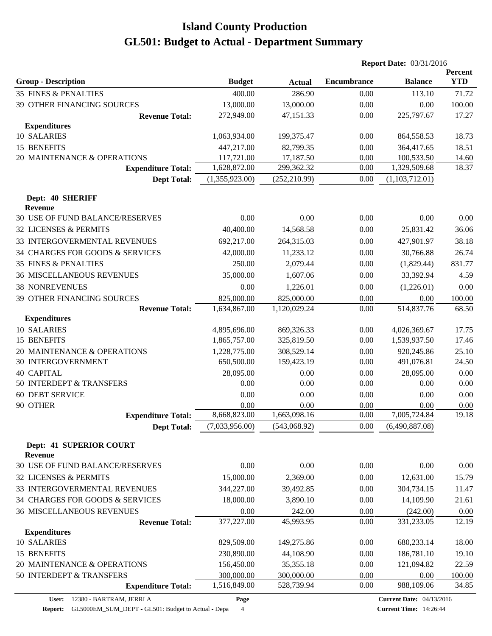|                                           |                |               |                    | <b>Report Date: 03/31/2016</b> |                       |  |
|-------------------------------------------|----------------|---------------|--------------------|--------------------------------|-----------------------|--|
| <b>Group - Description</b>                | <b>Budget</b>  | <b>Actual</b> | <b>Encumbrance</b> | <b>Balance</b>                 | Percent<br><b>YTD</b> |  |
| <b>35 FINES &amp; PENALTIES</b>           | 400.00         | 286.90        | 0.00               | 113.10                         | 71.72                 |  |
| 39 OTHER FINANCING SOURCES                | 13,000.00      | 13,000.00     | 0.00               | 0.00                           | 100.00                |  |
| <b>Revenue Total:</b>                     | 272,949.00     | 47,151.33     | 0.00               | 225,797.67                     | 17.27                 |  |
| <b>Expenditures</b>                       |                |               |                    |                                |                       |  |
| 10 SALARIES                               | 1,063,934.00   | 199,375.47    | 0.00               | 864,558.53                     | 18.73                 |  |
| 15 BENEFITS                               | 447,217.00     | 82,799.35     | 0.00               | 364,417.65                     | 18.51                 |  |
| 20 MAINTENANCE & OPERATIONS               | 117,721.00     | 17,187.50     | 0.00               | 100,533.50                     | 14.60                 |  |
| <b>Expenditure Total:</b>                 | 1,628,872.00   | 299,362.32    | 0.00               | 1,329,509.68                   | 18.37                 |  |
| <b>Dept Total:</b>                        | (1,355,923.00) | (252, 210.99) | 0.00               | (1,103,712.01)                 |                       |  |
| Dept: 40 SHERIFF<br><b>Revenue</b>        |                |               |                    |                                |                       |  |
| 30 USE OF FUND BALANCE/RESERVES           | 0.00           | 0.00          | 0.00               | 0.00                           | 0.00                  |  |
| 32 LICENSES & PERMITS                     | 40,400.00      | 14,568.58     | 0.00               | 25,831.42                      | 36.06                 |  |
| 33 INTERGOVERMENTAL REVENUES              | 692,217.00     | 264,315.03    | 0.00               | 427,901.97                     | 38.18                 |  |
| 34 CHARGES FOR GOODS & SERVICES           | 42,000.00      | 11,233.12     | 0.00               | 30,766.88                      | 26.74                 |  |
| <b>35 FINES &amp; PENALTIES</b>           | 250.00         | 2,079.44      | 0.00               | (1,829.44)                     | 831.77                |  |
| <b>36 MISCELLANEOUS REVENUES</b>          | 35,000.00      | 1,607.06      | 0.00               | 33,392.94                      | 4.59                  |  |
| <b>38 NONREVENUES</b>                     | 0.00           | 1,226.01      | 0.00               | (1,226.01)                     | 0.00                  |  |
| 39 OTHER FINANCING SOURCES                | 825,000.00     | 825,000.00    | 0.00               | 0.00                           | 100.00                |  |
| <b>Revenue Total:</b>                     | 1,634,867.00   | 1,120,029.24  | 0.00               | 514,837.76                     | 68.50                 |  |
| <b>Expenditures</b>                       |                |               |                    |                                |                       |  |
| 10 SALARIES                               | 4,895,696.00   | 869,326.33    | 0.00               | 4,026,369.67                   | 17.75                 |  |
| 15 BENEFITS                               | 1,865,757.00   | 325,819.50    | 0.00               | 1,539,937.50                   | 17.46                 |  |
| 20 MAINTENANCE & OPERATIONS               | 1,228,775.00   | 308,529.14    | 0.00               | 920,245.86                     | 25.10                 |  |
| <b>30 INTERGOVERNMENT</b>                 | 650,500.00     | 159,423.19    | 0.00               | 491,076.81                     | 24.50                 |  |
| <b>40 CAPITAL</b>                         | 28,095.00      | 0.00          | 0.00               | 28,095.00                      | 0.00                  |  |
| 50 INTERDEPT & TRANSFERS                  | 0.00           | 0.00          | 0.00               | 0.00                           | 0.00                  |  |
| <b>60 DEBT SERVICE</b>                    | 0.00           | 0.00          | 0.00               | 0.00                           | 0.00                  |  |
| 90 OTHER                                  | 0.00           | 0.00          | 0.00               | 0.00                           | 0.00<br>19.18         |  |
| <b>Expenditure Total:</b>                 | 8,668,823.00   | 1,663,098.16  | 0.00               | 7,005,724.84                   |                       |  |
| <b>Dept Total:</b>                        | (7,033,956.00) | (543,068.92)  | 0.00               | (6,490,887.08)                 |                       |  |
| <b>Dept: 41 SUPERIOR COURT</b><br>Revenue |                |               |                    |                                |                       |  |
| 30 USE OF FUND BALANCE/RESERVES           | 0.00           | 0.00          | 0.00               | 0.00                           | 0.00                  |  |
| <b>32 LICENSES &amp; PERMITS</b>          | 15,000.00      | 2,369.00      | 0.00               | 12,631.00                      | 15.79                 |  |
| 33 INTERGOVERMENTAL REVENUES              | 344,227.00     | 39,492.85     | 0.00               | 304,734.15                     | 11.47                 |  |
| 34 CHARGES FOR GOODS & SERVICES           | 18,000.00      | 3,890.10      | 0.00               | 14,109.90                      | 21.61                 |  |
| <b>36 MISCELLANEOUS REVENUES</b>          | 0.00           | 242.00        | 0.00               | (242.00)                       | 0.00                  |  |
| <b>Revenue Total:</b>                     | 377,227.00     | 45,993.95     | 0.00               | 331,233.05                     | 12.19                 |  |
| <b>Expenditures</b>                       |                |               |                    |                                |                       |  |
| 10 SALARIES                               | 829,509.00     | 149,275.86    | 0.00               | 680,233.14                     | 18.00                 |  |
| 15 BENEFITS                               | 230,890.00     | 44,108.90     | 0.00               | 186,781.10                     | 19.10                 |  |
| 20 MAINTENANCE & OPERATIONS               | 156,450.00     | 35,355.18     | 0.00               | 121,094.82                     | 22.59                 |  |
| 50 INTERDEPT & TRANSFERS                  | 300,000.00     | 300,000.00    | 0.00               | 0.00                           | 100.00                |  |
| <b>Expenditure Total:</b>                 | 1,516,849.00   | 528,739.94    | 0.00               | 988,109.06                     | 34.85                 |  |

**Page**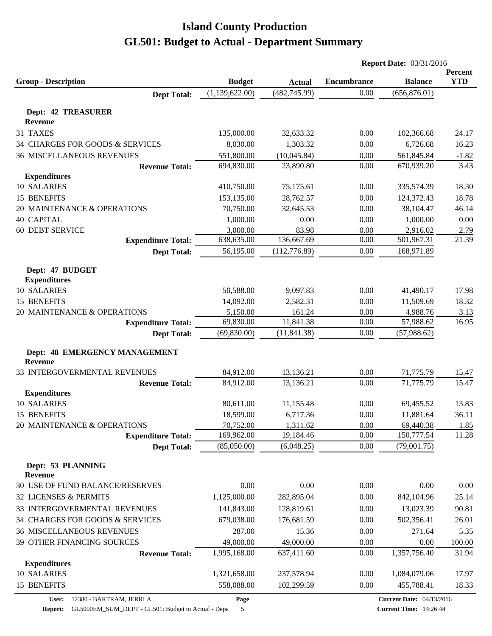|                                              |                |               | <b>Report Date: 03/31/2016</b> |                |                       |
|----------------------------------------------|----------------|---------------|--------------------------------|----------------|-----------------------|
| <b>Group - Description</b>                   | <b>Budget</b>  | <b>Actual</b> | <b>Encumbrance</b>             | <b>Balance</b> | Percent<br><b>YTD</b> |
| <b>Dept Total:</b>                           | (1,139,622.00) | (482, 745.99) | 0.00                           | (656, 876.01)  |                       |
|                                              |                |               |                                |                |                       |
| <b>Dept: 42 TREASURER</b><br><b>Revenue</b>  |                |               |                                |                |                       |
| 31 TAXES                                     | 135,000.00     | 32,633.32     | 0.00                           | 102,366.68     | 24.17                 |
| 34 CHARGES FOR GOODS & SERVICES              | 8,030.00       | 1,303.32      | 0.00                           | 6,726.68       | 16.23                 |
| <b>36 MISCELLANEOUS REVENUES</b>             | 551,800.00     | (10,045.84)   | 0.00                           | 561,845.84     | $-1.82$               |
| <b>Revenue Total:</b>                        | 694,830.00     | 23,890.80     | 0.00                           | 670,939.20     | 3.43                  |
| <b>Expenditures</b>                          |                |               |                                |                |                       |
| 10 SALARIES                                  | 410,750.00     | 75,175.61     | 0.00                           | 335,574.39     | 18.30                 |
| 15 BENEFITS                                  | 153,135.00     | 28,762.57     | 0.00                           | 124,372.43     | 18.78                 |
| 20 MAINTENANCE & OPERATIONS                  | 70,750.00      | 32,645.53     | 0.00                           | 38,104.47      | 46.14                 |
| <b>40 CAPITAL</b>                            | 1,000.00       | 0.00          | 0.00                           | 1,000.00       | 0.00                  |
| <b>60 DEBT SERVICE</b>                       | 3,000.00       | 83.98         | 0.00                           | 2,916.02       | 2.79                  |
| <b>Expenditure Total:</b>                    | 638,635.00     | 136,667.69    | 0.00                           | 501,967.31     | 21.39                 |
| <b>Dept Total:</b>                           | 56,195.00      | (112, 776.89) | 0.00                           | 168,971.89     |                       |
|                                              |                |               |                                |                |                       |
| Dept: 47 BUDGET<br><b>Expenditures</b>       |                |               |                                |                |                       |
| 10 SALARIES                                  | 50,588.00      | 9,097.83      | 0.00                           | 41,490.17      | 17.98                 |
| 15 BENEFITS                                  | 14,092.00      | 2,582.31      | 0.00                           | 11,509.69      | 18.32                 |
| 20 MAINTENANCE & OPERATIONS                  | 5,150.00       | 161.24        | 0.00                           | 4,988.76       | 3.13                  |
| <b>Expenditure Total:</b>                    | 69,830.00      | 11,841.38     | 0.00                           | 57,988.62      | 16.95                 |
| <b>Dept Total:</b>                           | (69, 830.00)   | (11, 841.38)  | 0.00                           | (57,988.62)    |                       |
|                                              |                |               |                                |                |                       |
| Dept: 48 EMERGENCY MANAGEMENT                |                |               |                                |                |                       |
| Revenue                                      |                |               |                                |                |                       |
| 33 INTERGOVERMENTAL REVENUES                 | 84,912.00      | 13,136.21     | 0.00                           | 71,775.79      | 15.47<br>15.47        |
| <b>Revenue Total:</b><br><b>Expenditures</b> | 84,912.00      | 13,136.21     | 0.00                           | 71,775.79      |                       |
| 10 SALARIES                                  | 80,611.00      | 11,155.48     | 0.00                           | 69,455.52      | 13.83                 |
| 15 BENEFITS                                  | 18,599.00      | 6,717.36      | 0.00                           | 11,881.64      | 36.11                 |
| 20 MAINTENANCE & OPERATIONS                  | 70,752.00      | 1,311.62      | 0.00                           | 69,440.38      | 1.85                  |
| <b>Expenditure Total:</b>                    | 169,962.00     | 19,184.46     | 0.00                           | 150,777.54     | 11.28                 |
| <b>Dept Total:</b>                           | (85,050.00)    | (6,048.25)    | 0.00                           | (79,001.75)    |                       |
|                                              |                |               |                                |                |                       |
| Dept: 53 PLANNING                            |                |               |                                |                |                       |
| <b>Revenue</b>                               |                |               |                                |                |                       |
| 30 USE OF FUND BALANCE/RESERVES              | 0.00           | 0.00          | 0.00                           | 0.00           | 0.00                  |
| 32 LICENSES & PERMITS                        | 1,125,000.00   | 282,895.04    | 0.00                           | 842,104.96     | 25.14                 |
| 33 INTERGOVERMENTAL REVENUES                 | 141,843.00     | 128,819.61    | 0.00                           | 13,023.39      | 90.81                 |
| 34 CHARGES FOR GOODS & SERVICES              | 679,038.00     | 176,681.59    | 0.00                           | 502,356.41     | 26.01                 |
| <b>36 MISCELLANEOUS REVENUES</b>             | 287.00         | 15.36         | 0.00                           | 271.64         | 5.35                  |
| 39 OTHER FINANCING SOURCES                   | 49,000.00      | 49,000.00     | 0.00                           | 0.00           | 100.00                |
| <b>Revenue Total:</b>                        | 1,995,168.00   | 637,411.60    | $0.00\,$                       | 1,357,756.40   | 31.94                 |
| <b>Expenditures</b>                          |                |               |                                |                |                       |
| 10 SALARIES                                  | 1,321,658.00   | 237,578.94    | 0.00                           | 1,084,079.06   | 17.97                 |
| 15 BENEFITS                                  | 558,088.00     | 102,299.59    | 0.00                           | 455,788.41     | 18.33                 |

**Report:** GL5000EM\_SUM\_DEPT - GL501: Budget to Actual - Depa 5

**Page**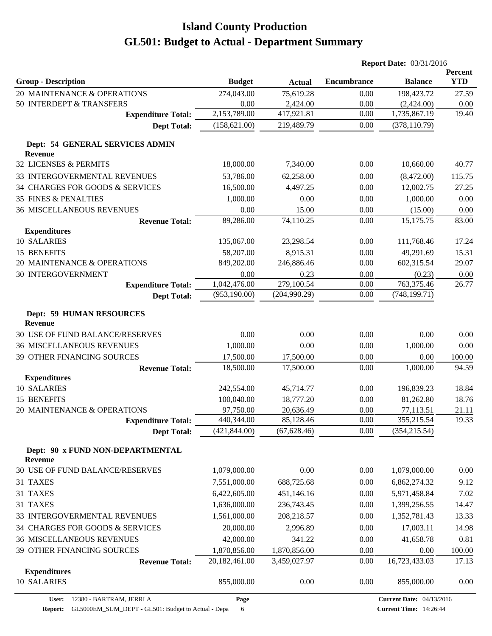| <b>YTD</b><br><b>Group - Description</b><br><b>Budget</b><br><b>Encumbrance</b><br><b>Balance</b><br><b>Actual</b><br>20 MAINTENANCE & OPERATIONS<br>274,043.00<br>75,619.28<br>198,423.72<br>27.59<br>0.00<br>50 INTERDEPT & TRANSFERS<br>0.00<br>2,424.00<br>0.00<br>(2,424.00)<br>0.00<br>2,153,789.00<br>417,921.81<br>0.00<br>1,735,867.19<br>19.40<br><b>Expenditure Total:</b><br>(158, 621.00)<br>219,489.79<br>0.00<br>(378, 110.79)<br><b>Dept Total:</b><br>Dept: 54 GENERAL SERVICES ADMIN<br><b>Revenue</b><br>32 LICENSES & PERMITS<br>18,000.00<br>0.00<br>40.77<br>7,340.00<br>10,660.00<br>33 INTERGOVERMENTAL REVENUES<br>53,786.00<br>62,258.00<br>0.00<br>(8,472.00)<br>115.75<br>34 CHARGES FOR GOODS & SERVICES<br>16,500.00<br>4,497.25<br>0.00<br>12,002.75<br>27.25<br><b>35 FINES &amp; PENALTIES</b><br>1,000.00<br>0.00<br>1,000.00<br>0.00<br>0.00<br>0.00<br><b>36 MISCELLANEOUS REVENUES</b><br>15.00<br>0.00<br>(15.00)<br>0.00<br>89,286.00<br>74,110.25<br>0.00<br>15,175.75<br>83.00<br><b>Revenue Total:</b><br><b>Expenditures</b><br>10 SALARIES<br>0.00<br>111,768.46<br>17.24<br>135,067.00<br>23,298.54<br>15 BENEFITS<br>58,207.00<br>8,915.31<br>0.00<br>49,291.69<br>15.31<br>20 MAINTENANCE & OPERATIONS<br>849,202.00<br>246,886.46<br>602,315.54<br>29.07<br>0.00<br>30 INTERGOVERNMENT<br>0.00<br>0.23<br>0.00<br>(0.23)<br>0.00<br>1,042,476.00<br>279,100.54<br>763,375.46<br>26.77<br>0.00<br><b>Expenditure Total:</b><br>(204,990.29)<br>(953, 190.00)<br>(748, 199.71)<br>0.00<br><b>Dept Total:</b><br><b>Dept: 59 HUMAN RESOURCES</b><br><b>Revenue</b><br>30 USE OF FUND BALANCE/RESERVES<br>0.00<br>0.00<br>0.00<br>0.00<br>0.00<br>1,000.00<br><b>36 MISCELLANEOUS REVENUES</b><br>1,000.00<br>0.00<br>0.00<br>0.00<br>17,500.00<br>0.00<br>0.00<br>39 OTHER FINANCING SOURCES<br>17,500.00<br>100.00<br>18,500.00<br>0.00<br>1,000.00<br>94.59<br>17,500.00<br><b>Revenue Total:</b><br><b>Expenditures</b><br>10 SALARIES<br>242,554.00<br>18.84<br>45,714.77<br>0.00<br>196,839.23<br>15 BENEFITS<br>100,040.00<br>18,777.20<br>0.00<br>81,262.80<br>18.76<br>97,750.00<br>0.00<br>20 MAINTENANCE & OPERATIONS<br>20,636.49<br>77,113.51<br>21.11<br>19.33<br>85,128.46<br>0.00<br>355,215.54<br>440,344.00<br><b>Expenditure Total:</b><br>(421, 844.00)<br>0.00<br>(67, 628.46)<br>(354, 215.54)<br><b>Dept Total:</b><br>Dept: 90 x FUND NON-DEPARTMENTAL<br><b>Revenue</b><br>30 USE OF FUND BALANCE/RESERVES<br>1,079,000.00<br>0.00<br>0.00<br>1,079,000.00<br>0.00<br>31 TAXES<br>7,551,000.00<br>0.00<br>9.12<br>688,725.68<br>6,862,274.32<br>31 TAXES<br>6,422,605.00<br>451,146.16<br>0.00<br>5,971,458.84<br>7.02 |          |              |            | <b>Report Date: 03/31/2016</b> |              |         |
|---------------------------------------------------------------------------------------------------------------------------------------------------------------------------------------------------------------------------------------------------------------------------------------------------------------------------------------------------------------------------------------------------------------------------------------------------------------------------------------------------------------------------------------------------------------------------------------------------------------------------------------------------------------------------------------------------------------------------------------------------------------------------------------------------------------------------------------------------------------------------------------------------------------------------------------------------------------------------------------------------------------------------------------------------------------------------------------------------------------------------------------------------------------------------------------------------------------------------------------------------------------------------------------------------------------------------------------------------------------------------------------------------------------------------------------------------------------------------------------------------------------------------------------------------------------------------------------------------------------------------------------------------------------------------------------------------------------------------------------------------------------------------------------------------------------------------------------------------------------------------------------------------------------------------------------------------------------------------------------------------------------------------------------------------------------------------------------------------------------------------------------------------------------------------------------------------------------------------------------------------------------------------------------------------------------------------------------------------------------------------------------------------------------------------------------------------------------------------------------------------------------------------------------------------------------------------------------------------------------------------------------------------------------------------------------------|----------|--------------|------------|--------------------------------|--------------|---------|
|                                                                                                                                                                                                                                                                                                                                                                                                                                                                                                                                                                                                                                                                                                                                                                                                                                                                                                                                                                                                                                                                                                                                                                                                                                                                                                                                                                                                                                                                                                                                                                                                                                                                                                                                                                                                                                                                                                                                                                                                                                                                                                                                                                                                                                                                                                                                                                                                                                                                                                                                                                                                                                                                                             |          |              |            |                                |              | Percent |
|                                                                                                                                                                                                                                                                                                                                                                                                                                                                                                                                                                                                                                                                                                                                                                                                                                                                                                                                                                                                                                                                                                                                                                                                                                                                                                                                                                                                                                                                                                                                                                                                                                                                                                                                                                                                                                                                                                                                                                                                                                                                                                                                                                                                                                                                                                                                                                                                                                                                                                                                                                                                                                                                                             |          |              |            |                                |              |         |
|                                                                                                                                                                                                                                                                                                                                                                                                                                                                                                                                                                                                                                                                                                                                                                                                                                                                                                                                                                                                                                                                                                                                                                                                                                                                                                                                                                                                                                                                                                                                                                                                                                                                                                                                                                                                                                                                                                                                                                                                                                                                                                                                                                                                                                                                                                                                                                                                                                                                                                                                                                                                                                                                                             |          |              |            |                                |              |         |
|                                                                                                                                                                                                                                                                                                                                                                                                                                                                                                                                                                                                                                                                                                                                                                                                                                                                                                                                                                                                                                                                                                                                                                                                                                                                                                                                                                                                                                                                                                                                                                                                                                                                                                                                                                                                                                                                                                                                                                                                                                                                                                                                                                                                                                                                                                                                                                                                                                                                                                                                                                                                                                                                                             |          |              |            |                                |              |         |
|                                                                                                                                                                                                                                                                                                                                                                                                                                                                                                                                                                                                                                                                                                                                                                                                                                                                                                                                                                                                                                                                                                                                                                                                                                                                                                                                                                                                                                                                                                                                                                                                                                                                                                                                                                                                                                                                                                                                                                                                                                                                                                                                                                                                                                                                                                                                                                                                                                                                                                                                                                                                                                                                                             |          |              |            |                                |              |         |
|                                                                                                                                                                                                                                                                                                                                                                                                                                                                                                                                                                                                                                                                                                                                                                                                                                                                                                                                                                                                                                                                                                                                                                                                                                                                                                                                                                                                                                                                                                                                                                                                                                                                                                                                                                                                                                                                                                                                                                                                                                                                                                                                                                                                                                                                                                                                                                                                                                                                                                                                                                                                                                                                                             |          |              |            |                                |              |         |
|                                                                                                                                                                                                                                                                                                                                                                                                                                                                                                                                                                                                                                                                                                                                                                                                                                                                                                                                                                                                                                                                                                                                                                                                                                                                                                                                                                                                                                                                                                                                                                                                                                                                                                                                                                                                                                                                                                                                                                                                                                                                                                                                                                                                                                                                                                                                                                                                                                                                                                                                                                                                                                                                                             |          |              |            |                                |              |         |
|                                                                                                                                                                                                                                                                                                                                                                                                                                                                                                                                                                                                                                                                                                                                                                                                                                                                                                                                                                                                                                                                                                                                                                                                                                                                                                                                                                                                                                                                                                                                                                                                                                                                                                                                                                                                                                                                                                                                                                                                                                                                                                                                                                                                                                                                                                                                                                                                                                                                                                                                                                                                                                                                                             |          |              |            |                                |              |         |
|                                                                                                                                                                                                                                                                                                                                                                                                                                                                                                                                                                                                                                                                                                                                                                                                                                                                                                                                                                                                                                                                                                                                                                                                                                                                                                                                                                                                                                                                                                                                                                                                                                                                                                                                                                                                                                                                                                                                                                                                                                                                                                                                                                                                                                                                                                                                                                                                                                                                                                                                                                                                                                                                                             |          |              |            |                                |              |         |
|                                                                                                                                                                                                                                                                                                                                                                                                                                                                                                                                                                                                                                                                                                                                                                                                                                                                                                                                                                                                                                                                                                                                                                                                                                                                                                                                                                                                                                                                                                                                                                                                                                                                                                                                                                                                                                                                                                                                                                                                                                                                                                                                                                                                                                                                                                                                                                                                                                                                                                                                                                                                                                                                                             |          |              |            |                                |              |         |
|                                                                                                                                                                                                                                                                                                                                                                                                                                                                                                                                                                                                                                                                                                                                                                                                                                                                                                                                                                                                                                                                                                                                                                                                                                                                                                                                                                                                                                                                                                                                                                                                                                                                                                                                                                                                                                                                                                                                                                                                                                                                                                                                                                                                                                                                                                                                                                                                                                                                                                                                                                                                                                                                                             |          |              |            |                                |              |         |
|                                                                                                                                                                                                                                                                                                                                                                                                                                                                                                                                                                                                                                                                                                                                                                                                                                                                                                                                                                                                                                                                                                                                                                                                                                                                                                                                                                                                                                                                                                                                                                                                                                                                                                                                                                                                                                                                                                                                                                                                                                                                                                                                                                                                                                                                                                                                                                                                                                                                                                                                                                                                                                                                                             |          |              |            |                                |              |         |
|                                                                                                                                                                                                                                                                                                                                                                                                                                                                                                                                                                                                                                                                                                                                                                                                                                                                                                                                                                                                                                                                                                                                                                                                                                                                                                                                                                                                                                                                                                                                                                                                                                                                                                                                                                                                                                                                                                                                                                                                                                                                                                                                                                                                                                                                                                                                                                                                                                                                                                                                                                                                                                                                                             |          |              |            |                                |              |         |
|                                                                                                                                                                                                                                                                                                                                                                                                                                                                                                                                                                                                                                                                                                                                                                                                                                                                                                                                                                                                                                                                                                                                                                                                                                                                                                                                                                                                                                                                                                                                                                                                                                                                                                                                                                                                                                                                                                                                                                                                                                                                                                                                                                                                                                                                                                                                                                                                                                                                                                                                                                                                                                                                                             |          |              |            |                                |              |         |
|                                                                                                                                                                                                                                                                                                                                                                                                                                                                                                                                                                                                                                                                                                                                                                                                                                                                                                                                                                                                                                                                                                                                                                                                                                                                                                                                                                                                                                                                                                                                                                                                                                                                                                                                                                                                                                                                                                                                                                                                                                                                                                                                                                                                                                                                                                                                                                                                                                                                                                                                                                                                                                                                                             |          |              |            |                                |              |         |
|                                                                                                                                                                                                                                                                                                                                                                                                                                                                                                                                                                                                                                                                                                                                                                                                                                                                                                                                                                                                                                                                                                                                                                                                                                                                                                                                                                                                                                                                                                                                                                                                                                                                                                                                                                                                                                                                                                                                                                                                                                                                                                                                                                                                                                                                                                                                                                                                                                                                                                                                                                                                                                                                                             |          |              |            |                                |              |         |
|                                                                                                                                                                                                                                                                                                                                                                                                                                                                                                                                                                                                                                                                                                                                                                                                                                                                                                                                                                                                                                                                                                                                                                                                                                                                                                                                                                                                                                                                                                                                                                                                                                                                                                                                                                                                                                                                                                                                                                                                                                                                                                                                                                                                                                                                                                                                                                                                                                                                                                                                                                                                                                                                                             |          |              |            |                                |              |         |
|                                                                                                                                                                                                                                                                                                                                                                                                                                                                                                                                                                                                                                                                                                                                                                                                                                                                                                                                                                                                                                                                                                                                                                                                                                                                                                                                                                                                                                                                                                                                                                                                                                                                                                                                                                                                                                                                                                                                                                                                                                                                                                                                                                                                                                                                                                                                                                                                                                                                                                                                                                                                                                                                                             |          |              |            |                                |              |         |
|                                                                                                                                                                                                                                                                                                                                                                                                                                                                                                                                                                                                                                                                                                                                                                                                                                                                                                                                                                                                                                                                                                                                                                                                                                                                                                                                                                                                                                                                                                                                                                                                                                                                                                                                                                                                                                                                                                                                                                                                                                                                                                                                                                                                                                                                                                                                                                                                                                                                                                                                                                                                                                                                                             |          |              |            |                                |              |         |
|                                                                                                                                                                                                                                                                                                                                                                                                                                                                                                                                                                                                                                                                                                                                                                                                                                                                                                                                                                                                                                                                                                                                                                                                                                                                                                                                                                                                                                                                                                                                                                                                                                                                                                                                                                                                                                                                                                                                                                                                                                                                                                                                                                                                                                                                                                                                                                                                                                                                                                                                                                                                                                                                                             |          |              |            |                                |              |         |
|                                                                                                                                                                                                                                                                                                                                                                                                                                                                                                                                                                                                                                                                                                                                                                                                                                                                                                                                                                                                                                                                                                                                                                                                                                                                                                                                                                                                                                                                                                                                                                                                                                                                                                                                                                                                                                                                                                                                                                                                                                                                                                                                                                                                                                                                                                                                                                                                                                                                                                                                                                                                                                                                                             |          |              |            |                                |              |         |
|                                                                                                                                                                                                                                                                                                                                                                                                                                                                                                                                                                                                                                                                                                                                                                                                                                                                                                                                                                                                                                                                                                                                                                                                                                                                                                                                                                                                                                                                                                                                                                                                                                                                                                                                                                                                                                                                                                                                                                                                                                                                                                                                                                                                                                                                                                                                                                                                                                                                                                                                                                                                                                                                                             |          |              |            |                                |              |         |
|                                                                                                                                                                                                                                                                                                                                                                                                                                                                                                                                                                                                                                                                                                                                                                                                                                                                                                                                                                                                                                                                                                                                                                                                                                                                                                                                                                                                                                                                                                                                                                                                                                                                                                                                                                                                                                                                                                                                                                                                                                                                                                                                                                                                                                                                                                                                                                                                                                                                                                                                                                                                                                                                                             |          |              |            |                                |              |         |
|                                                                                                                                                                                                                                                                                                                                                                                                                                                                                                                                                                                                                                                                                                                                                                                                                                                                                                                                                                                                                                                                                                                                                                                                                                                                                                                                                                                                                                                                                                                                                                                                                                                                                                                                                                                                                                                                                                                                                                                                                                                                                                                                                                                                                                                                                                                                                                                                                                                                                                                                                                                                                                                                                             |          |              |            |                                |              |         |
|                                                                                                                                                                                                                                                                                                                                                                                                                                                                                                                                                                                                                                                                                                                                                                                                                                                                                                                                                                                                                                                                                                                                                                                                                                                                                                                                                                                                                                                                                                                                                                                                                                                                                                                                                                                                                                                                                                                                                                                                                                                                                                                                                                                                                                                                                                                                                                                                                                                                                                                                                                                                                                                                                             |          |              |            |                                |              |         |
|                                                                                                                                                                                                                                                                                                                                                                                                                                                                                                                                                                                                                                                                                                                                                                                                                                                                                                                                                                                                                                                                                                                                                                                                                                                                                                                                                                                                                                                                                                                                                                                                                                                                                                                                                                                                                                                                                                                                                                                                                                                                                                                                                                                                                                                                                                                                                                                                                                                                                                                                                                                                                                                                                             |          |              |            |                                |              |         |
|                                                                                                                                                                                                                                                                                                                                                                                                                                                                                                                                                                                                                                                                                                                                                                                                                                                                                                                                                                                                                                                                                                                                                                                                                                                                                                                                                                                                                                                                                                                                                                                                                                                                                                                                                                                                                                                                                                                                                                                                                                                                                                                                                                                                                                                                                                                                                                                                                                                                                                                                                                                                                                                                                             |          |              |            |                                |              |         |
|                                                                                                                                                                                                                                                                                                                                                                                                                                                                                                                                                                                                                                                                                                                                                                                                                                                                                                                                                                                                                                                                                                                                                                                                                                                                                                                                                                                                                                                                                                                                                                                                                                                                                                                                                                                                                                                                                                                                                                                                                                                                                                                                                                                                                                                                                                                                                                                                                                                                                                                                                                                                                                                                                             |          |              |            |                                |              |         |
|                                                                                                                                                                                                                                                                                                                                                                                                                                                                                                                                                                                                                                                                                                                                                                                                                                                                                                                                                                                                                                                                                                                                                                                                                                                                                                                                                                                                                                                                                                                                                                                                                                                                                                                                                                                                                                                                                                                                                                                                                                                                                                                                                                                                                                                                                                                                                                                                                                                                                                                                                                                                                                                                                             |          |              |            |                                |              |         |
|                                                                                                                                                                                                                                                                                                                                                                                                                                                                                                                                                                                                                                                                                                                                                                                                                                                                                                                                                                                                                                                                                                                                                                                                                                                                                                                                                                                                                                                                                                                                                                                                                                                                                                                                                                                                                                                                                                                                                                                                                                                                                                                                                                                                                                                                                                                                                                                                                                                                                                                                                                                                                                                                                             |          |              |            |                                |              |         |
|                                                                                                                                                                                                                                                                                                                                                                                                                                                                                                                                                                                                                                                                                                                                                                                                                                                                                                                                                                                                                                                                                                                                                                                                                                                                                                                                                                                                                                                                                                                                                                                                                                                                                                                                                                                                                                                                                                                                                                                                                                                                                                                                                                                                                                                                                                                                                                                                                                                                                                                                                                                                                                                                                             |          |              |            |                                |              |         |
|                                                                                                                                                                                                                                                                                                                                                                                                                                                                                                                                                                                                                                                                                                                                                                                                                                                                                                                                                                                                                                                                                                                                                                                                                                                                                                                                                                                                                                                                                                                                                                                                                                                                                                                                                                                                                                                                                                                                                                                                                                                                                                                                                                                                                                                                                                                                                                                                                                                                                                                                                                                                                                                                                             |          |              |            |                                |              |         |
|                                                                                                                                                                                                                                                                                                                                                                                                                                                                                                                                                                                                                                                                                                                                                                                                                                                                                                                                                                                                                                                                                                                                                                                                                                                                                                                                                                                                                                                                                                                                                                                                                                                                                                                                                                                                                                                                                                                                                                                                                                                                                                                                                                                                                                                                                                                                                                                                                                                                                                                                                                                                                                                                                             |          |              |            |                                |              |         |
|                                                                                                                                                                                                                                                                                                                                                                                                                                                                                                                                                                                                                                                                                                                                                                                                                                                                                                                                                                                                                                                                                                                                                                                                                                                                                                                                                                                                                                                                                                                                                                                                                                                                                                                                                                                                                                                                                                                                                                                                                                                                                                                                                                                                                                                                                                                                                                                                                                                                                                                                                                                                                                                                                             |          |              |            |                                |              |         |
|                                                                                                                                                                                                                                                                                                                                                                                                                                                                                                                                                                                                                                                                                                                                                                                                                                                                                                                                                                                                                                                                                                                                                                                                                                                                                                                                                                                                                                                                                                                                                                                                                                                                                                                                                                                                                                                                                                                                                                                                                                                                                                                                                                                                                                                                                                                                                                                                                                                                                                                                                                                                                                                                                             | 31 TAXES | 1,636,000.00 | 236,743.45 | 0.00                           | 1,399,256.55 | 14.47   |
| 1,561,000.00<br>0.00<br>33 INTERGOVERMENTAL REVENUES<br>208,218.57<br>1,352,781.43<br>13.33                                                                                                                                                                                                                                                                                                                                                                                                                                                                                                                                                                                                                                                                                                                                                                                                                                                                                                                                                                                                                                                                                                                                                                                                                                                                                                                                                                                                                                                                                                                                                                                                                                                                                                                                                                                                                                                                                                                                                                                                                                                                                                                                                                                                                                                                                                                                                                                                                                                                                                                                                                                                 |          |              |            |                                |              |         |
| 34 CHARGES FOR GOODS & SERVICES<br>20,000.00<br>0.00<br>17,003.11<br>14.98<br>2,996.89                                                                                                                                                                                                                                                                                                                                                                                                                                                                                                                                                                                                                                                                                                                                                                                                                                                                                                                                                                                                                                                                                                                                                                                                                                                                                                                                                                                                                                                                                                                                                                                                                                                                                                                                                                                                                                                                                                                                                                                                                                                                                                                                                                                                                                                                                                                                                                                                                                                                                                                                                                                                      |          |              |            |                                |              |         |
| <b>36 MISCELLANEOUS REVENUES</b><br>42,000.00<br>341.22<br>41,658.78<br>0.81<br>0.00                                                                                                                                                                                                                                                                                                                                                                                                                                                                                                                                                                                                                                                                                                                                                                                                                                                                                                                                                                                                                                                                                                                                                                                                                                                                                                                                                                                                                                                                                                                                                                                                                                                                                                                                                                                                                                                                                                                                                                                                                                                                                                                                                                                                                                                                                                                                                                                                                                                                                                                                                                                                        |          |              |            |                                |              |         |
| 39 OTHER FINANCING SOURCES<br>1,870,856.00<br>1,870,856.00<br>0.00<br>0.00<br>100.00                                                                                                                                                                                                                                                                                                                                                                                                                                                                                                                                                                                                                                                                                                                                                                                                                                                                                                                                                                                                                                                                                                                                                                                                                                                                                                                                                                                                                                                                                                                                                                                                                                                                                                                                                                                                                                                                                                                                                                                                                                                                                                                                                                                                                                                                                                                                                                                                                                                                                                                                                                                                        |          |              |            |                                |              |         |
| 16,723,433.03<br>20,182,461.00<br>3,459,027.97<br>0.00<br>17.13<br><b>Revenue Total:</b>                                                                                                                                                                                                                                                                                                                                                                                                                                                                                                                                                                                                                                                                                                                                                                                                                                                                                                                                                                                                                                                                                                                                                                                                                                                                                                                                                                                                                                                                                                                                                                                                                                                                                                                                                                                                                                                                                                                                                                                                                                                                                                                                                                                                                                                                                                                                                                                                                                                                                                                                                                                                    |          |              |            |                                |              |         |
| <b>Expenditures</b><br>10 SALARIES<br>855,000.00<br>855,000.00<br>0.00<br>0.00<br>0.00                                                                                                                                                                                                                                                                                                                                                                                                                                                                                                                                                                                                                                                                                                                                                                                                                                                                                                                                                                                                                                                                                                                                                                                                                                                                                                                                                                                                                                                                                                                                                                                                                                                                                                                                                                                                                                                                                                                                                                                                                                                                                                                                                                                                                                                                                                                                                                                                                                                                                                                                                                                                      |          |              |            |                                |              |         |

**Page**

Report: GL5000EM\_SUM\_DEPT - GL501: Budget to Actual - Depa 6